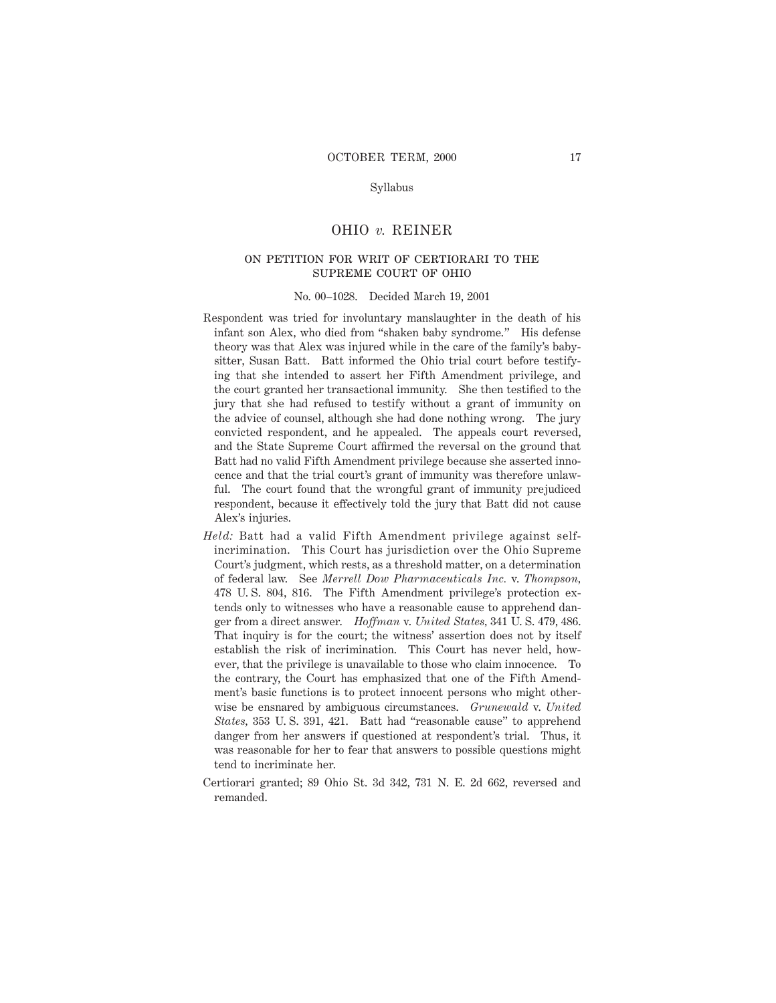## Syllabus

### OHIO *v.* REINER

# on petition for writ of certiorari to the supreme court of ohio

#### No. 00–1028. Decided March 19, 2001

- Respondent was tried for involuntary manslaughter in the death of his infant son Alex, who died from "shaken baby syndrome." His defense theory was that Alex was injured while in the care of the family's babysitter, Susan Batt. Batt informed the Ohio trial court before testifying that she intended to assert her Fifth Amendment privilege, and the court granted her transactional immunity. She then testified to the jury that she had refused to testify without a grant of immunity on the advice of counsel, although she had done nothing wrong. The jury convicted respondent, and he appealed. The appeals court reversed, and the State Supreme Court affirmed the reversal on the ground that Batt had no valid Fifth Amendment privilege because she asserted innocence and that the trial court's grant of immunity was therefore unlawful. The court found that the wrongful grant of immunity prejudiced respondent, because it effectively told the jury that Batt did not cause Alex's injuries.
- *Held:* Batt had a valid Fifth Amendment privilege against selfincrimination. This Court has jurisdiction over the Ohio Supreme Court's judgment, which rests, as a threshold matter, on a determination of federal law. See *Merrell Dow Pharmaceuticals Inc.* v. *Thompson,* 478 U. S. 804, 816. The Fifth Amendment privilege's protection extends only to witnesses who have a reasonable cause to apprehend danger from a direct answer. *Hoffman* v. *United States,* 341 U. S. 479, 486. That inquiry is for the court; the witness' assertion does not by itself establish the risk of incrimination. This Court has never held, however, that the privilege is unavailable to those who claim innocence. To the contrary, the Court has emphasized that one of the Fifth Amendment's basic functions is to protect innocent persons who might otherwise be ensnared by ambiguous circumstances. *Grunewald* v. *United States,* 353 U. S. 391, 421. Batt had "reasonable cause" to apprehend danger from her answers if questioned at respondent's trial. Thus, it was reasonable for her to fear that answers to possible questions might tend to incriminate her.
- Certiorari granted; 89 Ohio St. 3d 342, 731 N. E. 2d 662, reversed and remanded.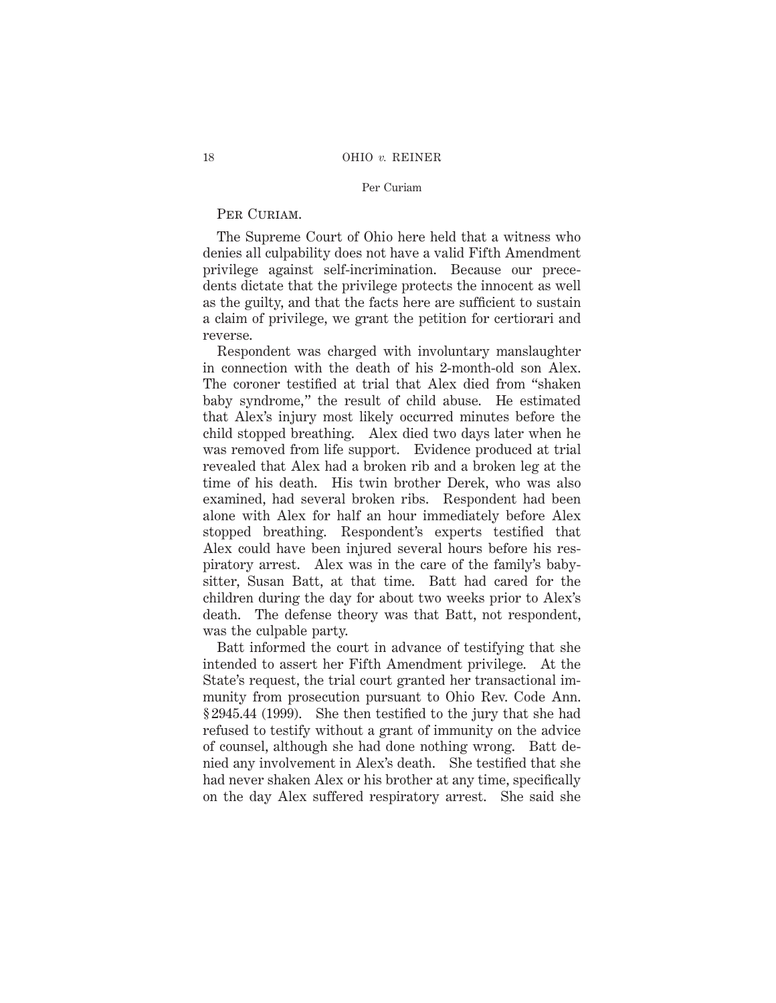## PER CURIAM.

The Supreme Court of Ohio here held that a witness who denies all culpability does not have a valid Fifth Amendment privilege against self-incrimination. Because our precedents dictate that the privilege protects the innocent as well as the guilty, and that the facts here are sufficient to sustain a claim of privilege, we grant the petition for certiorari and reverse.

Respondent was charged with involuntary manslaughter in connection with the death of his 2-month-old son Alex. The coroner testified at trial that Alex died from "shaken baby syndrome," the result of child abuse. He estimated that Alex's injury most likely occurred minutes before the child stopped breathing. Alex died two days later when he was removed from life support. Evidence produced at trial revealed that Alex had a broken rib and a broken leg at the time of his death. His twin brother Derek, who was also examined, had several broken ribs. Respondent had been alone with Alex for half an hour immediately before Alex stopped breathing. Respondent's experts testified that Alex could have been injured several hours before his respiratory arrest. Alex was in the care of the family's babysitter, Susan Batt, at that time. Batt had cared for the children during the day for about two weeks prior to Alex's death. The defense theory was that Batt, not respondent, was the culpable party.

Batt informed the court in advance of testifying that she intended to assert her Fifth Amendment privilege. At the State's request, the trial court granted her transactional immunity from prosecution pursuant to Ohio Rev. Code Ann. § 2945.44 (1999). She then testified to the jury that she had refused to testify without a grant of immunity on the advice of counsel, although she had done nothing wrong. Batt denied any involvement in Alex's death. She testified that she had never shaken Alex or his brother at any time, specifically on the day Alex suffered respiratory arrest. She said she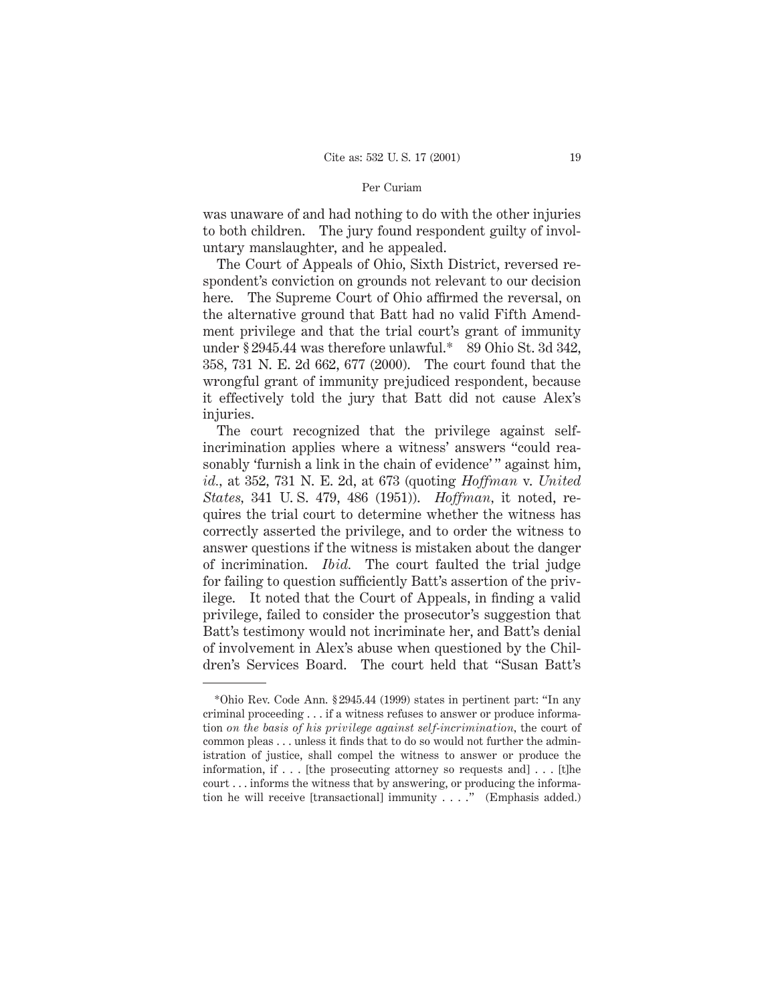was unaware of and had nothing to do with the other injuries to both children. The jury found respondent guilty of involuntary manslaughter, and he appealed.

The Court of Appeals of Ohio, Sixth District, reversed respondent's conviction on grounds not relevant to our decision here. The Supreme Court of Ohio affirmed the reversal, on the alternative ground that Batt had no valid Fifth Amendment privilege and that the trial court's grant of immunity under § 2945.44 was therefore unlawful.\* 89 Ohio St. 3d 342, 358, 731 N. E. 2d 662, 677 (2000). The court found that the wrongful grant of immunity prejudiced respondent, because it effectively told the jury that Batt did not cause Alex's injuries.

The court recognized that the privilege against selfincrimination applies where a witness' answers "could reasonably 'furnish a link in the chain of evidence'" against him, *id.,* at 352, 731 N. E. 2d, at 673 (quoting *Hoffman* v. *United States,* 341 U. S. 479, 486 (1951)). *Hoffman,* it noted, requires the trial court to determine whether the witness has correctly asserted the privilege, and to order the witness to answer questions if the witness is mistaken about the danger of incrimination. *Ibid.* The court faulted the trial judge for failing to question sufficiently Batt's assertion of the privilege. It noted that the Court of Appeals, in finding a valid privilege, failed to consider the prosecutor's suggestion that Batt's testimony would not incriminate her, and Batt's denial of involvement in Alex's abuse when questioned by the Children's Services Board. The court held that "Susan Batt's

<sup>\*</sup>Ohio Rev. Code Ann. § 2945.44 (1999) states in pertinent part: "In any criminal proceeding . . . if a witness refuses to answer or produce information *on the basis of his privilege against self-incrimination,* the court of common pleas... unless it finds that to do so would not further the administration of justice, shall compel the witness to answer or produce the information, if . . . [the prosecuting attorney so requests and] . . . [t]he court . . . informs the witness that by answering, or producing the information he will receive [transactional] immunity . . . ." (Emphasis added.)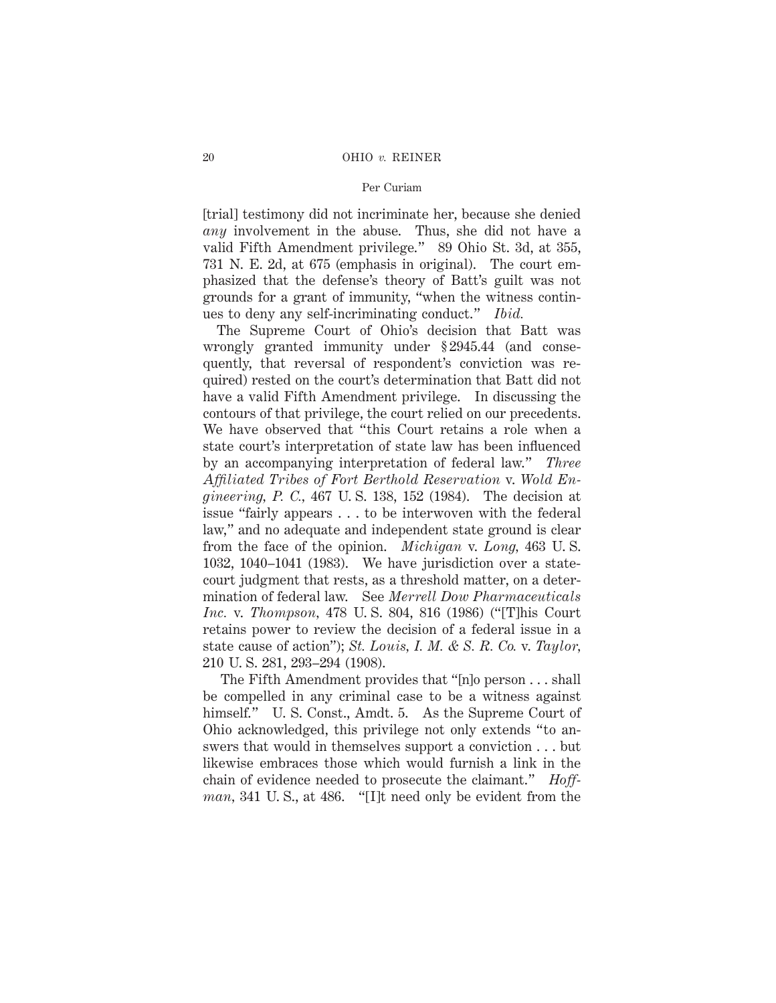[trial] testimony did not incriminate her, because she denied *any* involvement in the abuse. Thus, she did not have a valid Fifth Amendment privilege." 89 Ohio St. 3d, at 355, 731 N. E. 2d, at 675 (emphasis in original). The court emphasized that the defense's theory of Batt's guilt was not grounds for a grant of immunity, "when the witness continues to deny any self-incriminating conduct." *Ibid.*

The Supreme Court of Ohio's decision that Batt was wrongly granted immunity under § 2945.44 (and consequently, that reversal of respondent's conviction was required) rested on the court's determination that Batt did not have a valid Fifth Amendment privilege. In discussing the contours of that privilege, the court relied on our precedents. We have observed that "this Court retains a role when a state court's interpretation of state law has been influenced by an accompanying interpretation of federal law." *Three Affiliated Tribes of Fort Berthold Reservation* v. *Wold Engineering, P. C.,* 467 U. S. 138, 152 (1984). The decision at issue "fairly appears . . . to be interwoven with the federal law," and no adequate and independent state ground is clear from the face of the opinion. *Michigan* v. *Long,* 463 U. S. 1032, 1040–1041 (1983). We have jurisdiction over a statecourt judgment that rests, as a threshold matter, on a determination of federal law. See *Merrell Dow Pharmaceuticals Inc.* v. *Thompson,* 478 U. S. 804, 816 (1986) ("[T]his Court retains power to review the decision of a federal issue in a state cause of action"); *St. Louis, I. M. & S. R. Co.* v. *Taylor,* 210 U. S. 281, 293–294 (1908).

The Fifth Amendment provides that "[n]o person . . . shall be compelled in any criminal case to be a witness against himself." U. S. Const., Amdt. 5. As the Supreme Court of Ohio acknowledged, this privilege not only extends "to answers that would in themselves support a conviction . . . but likewise embraces those which would furnish a link in the chain of evidence needed to prosecute the claimant." *Hoffman,* 341 U. S., at 486. "[I]t need only be evident from the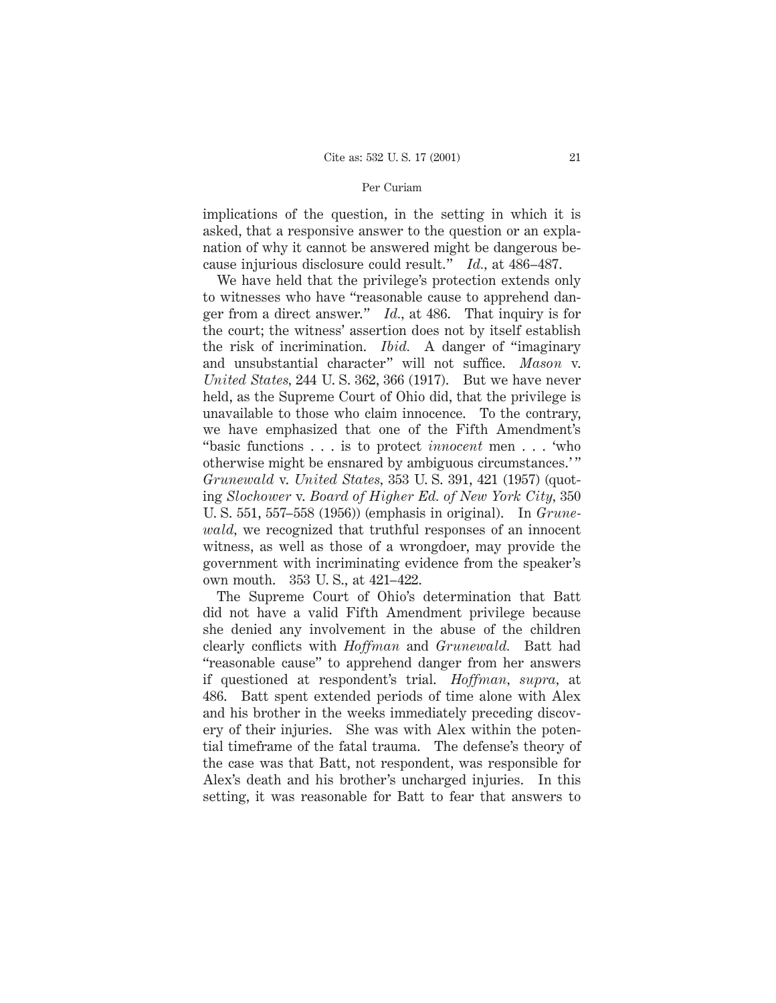implications of the question, in the setting in which it is asked, that a responsive answer to the question or an explanation of why it cannot be answered might be dangerous because injurious disclosure could result." *Id.,* at 486–487.

We have held that the privilege's protection extends only to witnesses who have "reasonable cause to apprehend danger from a direct answer." *Id.,* at 486. That inquiry is for the court; the witness' assertion does not by itself establish the risk of incrimination. *Ibid.* A danger of "imaginary and unsubstantial character" will not suffice. *Mason* v. *United States,* 244 U. S. 362, 366 (1917). But we have never held, as the Supreme Court of Ohio did, that the privilege is unavailable to those who claim innocence. To the contrary, we have emphasized that one of the Fifth Amendment's "basic functions . . . is to protect *innocent* men . . . 'who otherwise might be ensnared by ambiguous circumstances.' " *Grunewald* v. *United States,* 353 U. S. 391, 421 (1957) (quoting *Slochower* v. *Board of Higher Ed. of New York City,* 350 U. S. 551, 557–558 (1956)) (emphasis in original). In *Grunewald,* we recognized that truthful responses of an innocent witness, as well as those of a wrongdoer, may provide the government with incriminating evidence from the speaker's own mouth. 353 U. S., at 421–422.

The Supreme Court of Ohio's determination that Batt did not have a valid Fifth Amendment privilege because she denied any involvement in the abuse of the children clearly conflicts with *Hoffman* and *Grunewald.* Batt had "reasonable cause" to apprehend danger from her answers if questioned at respondent's trial. *Hoffman, supra,* at 486. Batt spent extended periods of time alone with Alex and his brother in the weeks immediately preceding discovery of their injuries. She was with Alex within the potential timeframe of the fatal trauma. The defense's theory of the case was that Batt, not respondent, was responsible for Alex's death and his brother's uncharged injuries. In this setting, it was reasonable for Batt to fear that answers to